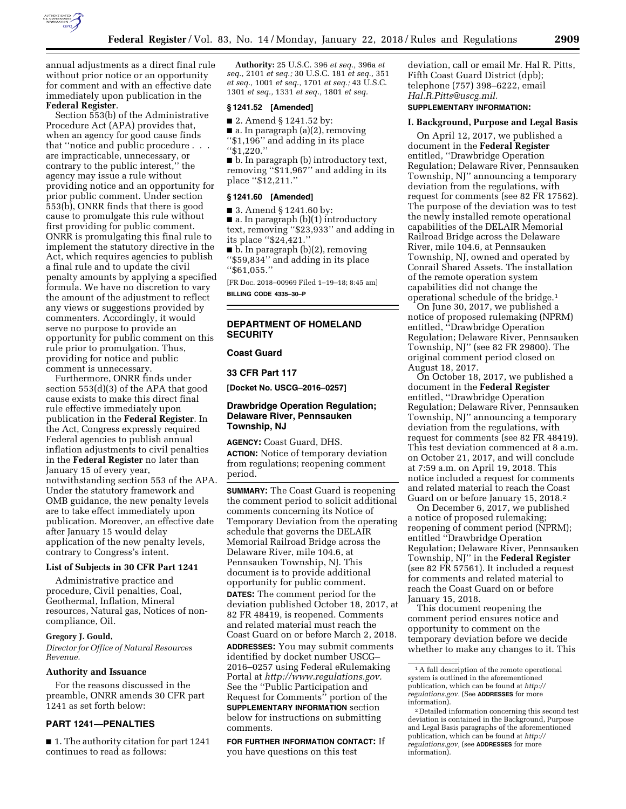

annual adjustments as a direct final rule without prior notice or an opportunity for comment and with an effective date immediately upon publication in the **Federal Register**.

Section 553(b) of the Administrative Procedure Act (APA) provides that, when an agency for good cause finds that ''notice and public procedure . . . are impracticable, unnecessary, or contrary to the public interest,'' the agency may issue a rule without providing notice and an opportunity for prior public comment. Under section 553(b), ONRR finds that there is good cause to promulgate this rule without first providing for public comment. ONRR is promulgating this final rule to implement the statutory directive in the Act, which requires agencies to publish a final rule and to update the civil penalty amounts by applying a specified formula. We have no discretion to vary the amount of the adjustment to reflect any views or suggestions provided by commenters. Accordingly, it would serve no purpose to provide an opportunity for public comment on this rule prior to promulgation. Thus, providing for notice and public comment is unnecessary.

Furthermore, ONRR finds under section 553(d)(3) of the APA that good cause exists to make this direct final rule effective immediately upon publication in the **Federal Register**. In the Act, Congress expressly required Federal agencies to publish annual inflation adjustments to civil penalties in the **Federal Register** no later than January 15 of every year, notwithstanding section 553 of the APA. Under the statutory framework and OMB guidance, the new penalty levels are to take effect immediately upon publication. Moreover, an effective date after January 15 would delay application of the new penalty levels, contrary to Congress's intent.

#### **List of Subjects in 30 CFR Part 1241**

Administrative practice and procedure, Civil penalties, Coal, Geothermal, Inflation, Mineral resources, Natural gas, Notices of noncompliance, Oil.

#### **Gregory J. Gould,**

*Director for Office of Natural Resources Revenue.* 

#### **Authority and Issuance**

For the reasons discussed in the preamble, ONRR amends 30 CFR part 1241 as set forth below:

## **PART 1241—PENALTIES**

■ 1. The authority citation for part 1241 continues to read as follows:

**Authority:** 25 U.S.C. 396 *et seq.,* 396a *et seq.,* 2101 *et seq.;* 30 U.S.C. 181 *et seq.,* 351 *et seq.,* 1001 *et seq.,* 1701 *et seq.;* 43 U.S.C. 1301 *et seq.,* 1331 *et seq.,* 1801 *et seq.* 

#### **§ 1241.52 [Amended]**

■ 2. Amend § 1241.52 by:

■ a. In paragraph (a)(2), removing ''\$1,196'' and adding in its place

''\$1,220.''

■ b. In paragraph (b) introductory text, removing ''\$11,967'' and adding in its place ''\$12,211.''

#### **§ 1241.60 [Amended]**

■ 3. Amend § 1241.60 by:

■ a. In paragraph (b)(1) introductory text, removing ''\$23,933'' and adding in its place ''\$24,421.''

■ b. In paragraph (b)(2), removing ''\$59,834'' and adding in its place ''\$61,055.''

[FR Doc. 2018–00969 Filed 1–19–18; 8:45 am] **BILLING CODE 4335–30–P** 

#### **DEPARTMENT OF HOMELAND SECURITY**

#### **Coast Guard**

**33 CFR Part 117** 

**[Docket No. USCG–2016–0257]** 

#### **Drawbridge Operation Regulation; Delaware River, Pennsauken Township, NJ**

**AGENCY:** Coast Guard, DHS. **ACTION:** Notice of temporary deviation from regulations; reopening comment period.

**SUMMARY:** The Coast Guard is reopening the comment period to solicit additional comments concerning its Notice of Temporary Deviation from the operating schedule that governs the DELAIR Memorial Railroad Bridge across the Delaware River, mile 104.6, at Pennsauken Township, NJ. This document is to provide additional opportunity for public comment. **DATES:** The comment period for the deviation published October 18, 2017, at 82 FR 48419, is reopened. Comments and related material must reach the Coast Guard on or before March 2, 2018. **ADDRESSES:** You may submit comments identified by docket number USCG– 2016–0257 using Federal eRulemaking Portal at *[http://www.regulations.gov.](http://www.regulations.gov)*  See the ''Public Participation and Request for Comments'' portion of the **SUPPLEMENTARY INFORMATION** section below for instructions on submitting comments.

**FOR FURTHER INFORMATION CONTACT:** If you have questions on this test

deviation, call or email Mr. Hal R. Pitts, Fifth Coast Guard District (dpb); telephone (757) 398–6222, email *[Hal.R.Pitts@uscg.mil.](mailto:Hal.R.Pitts@uscg.mil)* 

# **SUPPLEMENTARY INFORMATION:**

## **I. Background, Purpose and Legal Basis**

On April 12, 2017, we published a document in the **Federal Register**  entitled, ''Drawbridge Operation Regulation; Delaware River, Pennsauken Township, NJ'' announcing a temporary deviation from the regulations, with request for comments (see 82 FR 17562). The purpose of the deviation was to test the newly installed remote operational capabilities of the DELAIR Memorial Railroad Bridge across the Delaware River, mile 104.6, at Pennsauken Township, NJ, owned and operated by Conrail Shared Assets. The installation of the remote operation system capabilities did not change the operational schedule of the bridge.1

On June 30, 2017, we published a notice of proposed rulemaking (NPRM) entitled, ''Drawbridge Operation Regulation; Delaware River, Pennsauken Township, NJ'' (see 82 FR 29800). The original comment period closed on August 18, 2017.

On October 18, 2017, we published a document in the **Federal Register**  entitled, ''Drawbridge Operation Regulation; Delaware River, Pennsauken Township, NJ'' announcing a temporary deviation from the regulations, with request for comments (see 82 FR 48419). This test deviation commenced at 8 a.m. on October 21, 2017, and will conclude at 7:59 a.m. on April 19, 2018. This notice included a request for comments and related material to reach the Coast Guard on or before January 15, 2018.2

On December 6, 2017, we published a notice of proposed rulemaking; reopening of comment period (NPRM); entitled ''Drawbridge Operation Regulation; Delaware River, Pennsauken Township, NJ'' in the **Federal Register**  (see 82 FR 57561). It included a request for comments and related material to reach the Coast Guard on or before January 15, 2018.

This document reopening the comment period ensures notice and opportunity to comment on the temporary deviation before we decide whether to make any changes to it. This

<sup>1</sup>A full description of the remote operational system is outlined in the aforementioned publication, which can be found at *[http://](http://regulations.gov) [regulations.gov.](http://regulations.gov)* (See **ADDRESSES** for more information).

<sup>2</sup> Detailed information concerning this second test deviation is contained in the Background, Purpose and Legal Basis paragraphs of the aforementioned publication, which can be found at *[http://](http://regulations.gov) [regulations.gov,](http://regulations.gov)* (see **ADDRESSES** for more information).